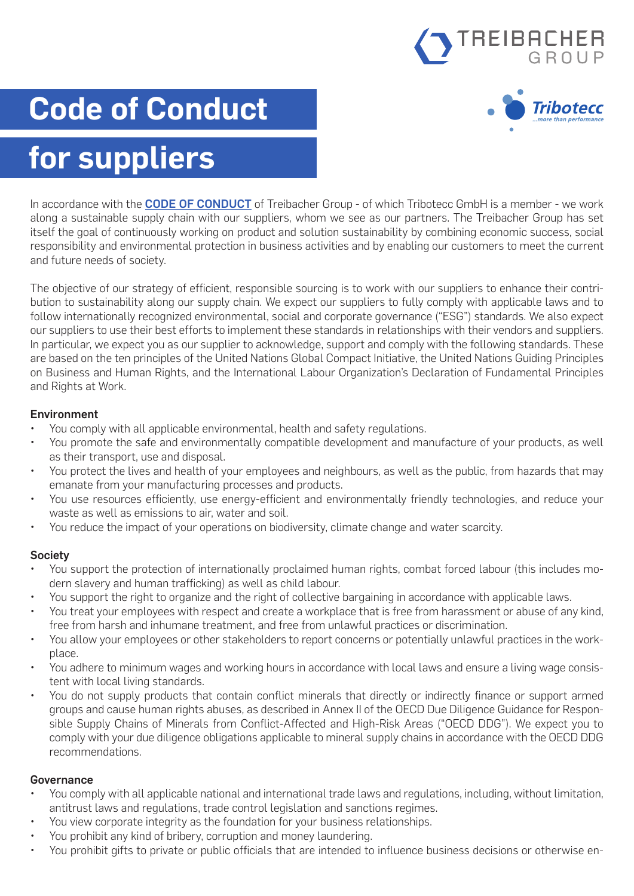

Tribotecc

# **Code of Conduct**

## **for suppliers**

In accordance with the **[CODE OF CONDUCT](https://www.tribotecc.com/app/uploads/2022/05/treibacher-group-code-of-conduct-v02-2022.pdf)** of Treibacher Group - of which Tribotecc GmbH is a member - we work along a sustainable supply chain with our suppliers, whom we see as our partners. The Treibacher Group has set itself the goal of continuously working on product and solution sustainability by combining economic success, social responsibility and environmental protection in business activities and by enabling our customers to meet the current and future needs of society.

The objective of our strategy of efficient, responsible sourcing is to work with our suppliers to enhance their contribution to sustainability along our supply chain. We expect our suppliers to fully comply with applicable laws and to follow internationally recognized environmental, social and corporate governance ("ESG") standards. We also expect our suppliers to use their best efforts to implement these standards in relationships with their vendors and suppliers. In particular, we expect you as our supplier to acknowledge, support and comply with the following standards. These are based on the ten principles of the United Nations Global Compact Initiative, the United Nations Guiding Principles on Business and Human Rights, and the International Labour Organization's Declaration of Fundamental Principles and Rights at Work.

#### Environment

- You comply with all applicable environmental, health and safety regulations.
- You promote the safe and environmentally compatible development and manufacture of your products, as well as their transport, use and disposal.
- You protect the lives and health of your employees and neighbours, as well as the public, from hazards that may emanate from your manufacturing processes and products.
- You use resources efficiently, use energy-efficient and environmentally friendly technologies, and reduce your waste as well as emissions to air, water and soil.
- You reduce the impact of your operations on biodiversity, climate change and water scarcity.

#### Society

- You support the protection of internationally proclaimed human rights, combat forced labour (this includes modern slavery and human trafficking) as well as child labour.
- You support the right to organize and the right of collective bargaining in accordance with applicable laws.
- You treat your employees with respect and create a workplace that is free from harassment or abuse of any kind, free from harsh and inhumane treatment, and free from unlawful practices or discrimination.
- You allow your employees or other stakeholders to report concerns or potentially unlawful practices in the workplace.
- You adhere to minimum wages and working hours in accordance with local laws and ensure a living wage consistent with local living standards.
- You do not supply products that contain conflict minerals that directly or indirectly finance or support armed groups and cause human rights abuses, as described in Annex II of the OECD Due Diligence Guidance for Responsible Supply Chains of Minerals from Conflict-Affected and High-Risk Areas ("OECD DDG"). We expect you to comply with your due diligence obligations applicable to mineral supply chains in accordance with the OECD DDG recommendations.

#### Governance

- You comply with all applicable national and international trade laws and regulations, including, without limitation, antitrust laws and regulations, trade control legislation and sanctions regimes.
- You view corporate integrity as the foundation for your business relationships.
- You prohibit any kind of bribery, corruption and money laundering.
- You prohibit gifts to private or public officials that are intended to influence business decisions or otherwise en-